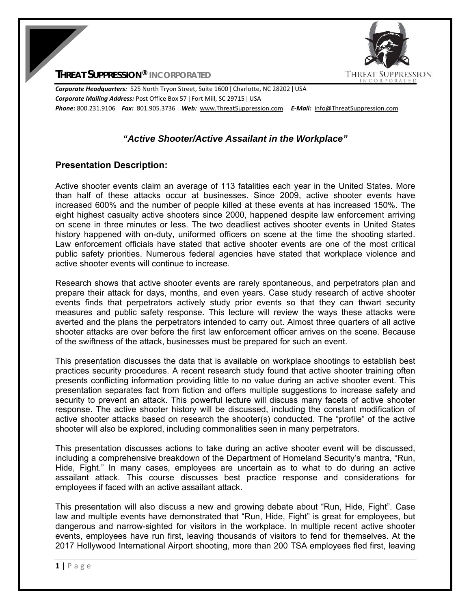

**THREAT SUPPRESSION® INCORPORATED**

*Corporate Headquarters:* 525 North Tryon Street, Suite 1600 ǀ Charlotte, NC 28202 ǀ USA *Corporate Mailing Address:* Post Office Box 57 ǀ Fort Mill, SC 29715 ǀ USA *Phone:* 800.231.9106  *Fax:* 801.905.3736 *Web:* www.ThreatSuppression.com *E‐Mail:*  info@ThreatSuppression.com

## *"Active Shooter/Active Assailant in the Workplace"*

## **Presentation Description:**

Active shooter events claim an average of 113 fatalities each year in the United States. More than half of these attacks occur at businesses. Since 2009, active shooter events have increased 600% and the number of people killed at these events at has increased 150%. The eight highest casualty active shooters since 2000, happened despite law enforcement arriving on scene in three minutes or less. The two deadliest actives shooter events in United States history happened with on-duty, uniformed officers on scene at the time the shooting started. Law enforcement officials have stated that active shooter events are one of the most critical public safety priorities. Numerous federal agencies have stated that workplace violence and active shooter events will continue to increase.

Research shows that active shooter events are rarely spontaneous, and perpetrators plan and prepare their attack for days, months, and even years. Case study research of active shooter events finds that perpetrators actively study prior events so that they can thwart security measures and public safety response. This lecture will review the ways these attacks were averted and the plans the perpetrators intended to carry out. Almost three quarters of all active shooter attacks are over before the first law enforcement officer arrives on the scene. Because of the swiftness of the attack, businesses must be prepared for such an event.

This presentation discusses the data that is available on workplace shootings to establish best practices security procedures. A recent research study found that active shooter training often presents conflicting information providing little to no value during an active shooter event. This presentation separates fact from fiction and offers multiple suggestions to increase safety and security to prevent an attack. This powerful lecture will discuss many facets of active shooter response. The active shooter history will be discussed, including the constant modification of active shooter attacks based on research the shooter(s) conducted. The "profile" of the active shooter will also be explored, including commonalities seen in many perpetrators.

This presentation discusses actions to take during an active shooter event will be discussed, including a comprehensive breakdown of the Department of Homeland Security's mantra, "Run, Hide, Fight." In many cases, employees are uncertain as to what to do during an active assailant attack. This course discusses best practice response and considerations for employees if faced with an active assailant attack.

This presentation will also discuss a new and growing debate about "Run, Hide, Fight". Case law and multiple events have demonstrated that "Run, Hide, Fight" is great for employees, but dangerous and narrow-sighted for visitors in the workplace. In multiple recent active shooter events, employees have run first, leaving thousands of visitors to fend for themselves. At the 2017 Hollywood International Airport shooting, more than 200 TSA employees fled first, leaving